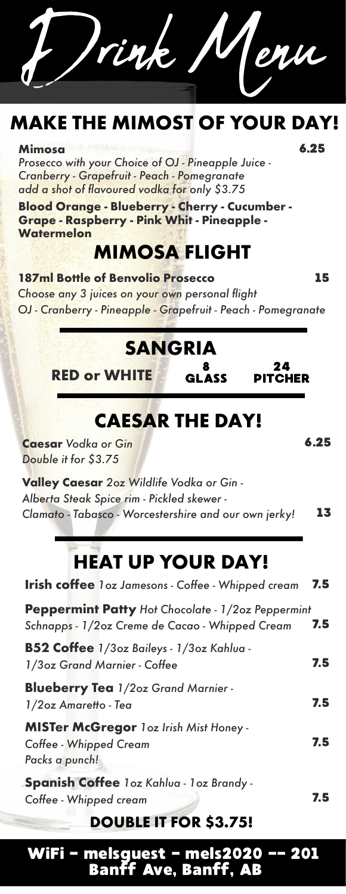# **MAKE THE MIMOST OF YOUR DAY!**

### **Mimosa** 6.25

*Prosecco with your Choice of OJ - Pineapple Juice - Cranberry - Grapefruit - Peach - Pomegranate add a shot of flavoured vodka for only \$3.75*

**Blood Orange - Blueberry - Cherry - Cucumber - Grape - Raspberry - Pink Whit - Pineapple - Watermelon**

### **MIMOSA FLIGHT**

**187ml Bottle of Benvolio Prosecco** 15 *Choose any 3 juices on your own personal flight OJ - Cranberry - Pineapple - Grapefruit - Peach - Pomegranate*

### **SANGRIA** 8

**RED or WHITE**

# **CAESAR THE DAY!**

GLASS

*Double it for \$3.75* **Caesar** Vodka or Gin **6.25** 

**Valley Caesar** *2oz Wildlife Vodka or Gin - Alberta Steak Spice rim - Pickled skewer - Clamato - Tabasco - Worcestershire and our own jerky!*  13

# **HEAT UP YOUR DAY!**

| <b>Irish coffee</b> loz Jamesons - Coffee - Whipped cream                                            | 7.5 |
|------------------------------------------------------------------------------------------------------|-----|
| Peppermint Patty Hot Chocolate - 1/2oz Peppermint<br>Schnapps - 1/2oz Creme de Cacao - Whipped Cream | 7.5 |
| B52 Coffee 1/3oz Baileys - 1/3oz Kahlua -<br>1/3oz Grand Marnier - Coffee                            | 7.5 |
| <b>Blueberry Tea</b> 1/2oz Grand Marnier -<br>1/2oz Amaretto - Tea                                   | 7.5 |
| <b>MISTer McGregor 1oz Irish Mist Honey -</b><br>Coffee - Whipped Cream<br>Packs a punch!            | 7.5 |
| Spanish Coffee loz Kahlua - loz Brandy -<br>Coffee - Whipped cream                                   | 7.5 |

### **DOUBLE IT FOR \$3.75!**

WiFi - melsguest - mels2020 -- 201 Banff Ave, Banff, AB

24 PITCHER